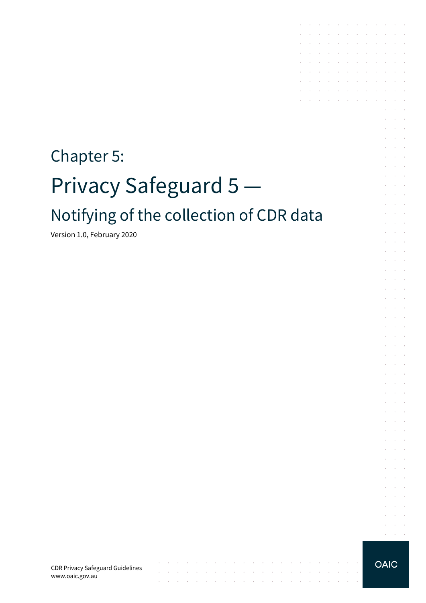# Chapter 5: Privacy Safeguard 5 Notifying of the collection of CDR data

Version 1.0, February 2020

CDR Privacy Safeguard Guidelines www.oaic.gov.au

 $\mathcal{L}$ 

contract and a state of

**OAIC** 

 $\sim$ 

the contract of the contract of the contract of

 $\sim$ 

 $\sim$ 

 $\sim$ 

the contract of the contract of the contract of the contract of the contract of

**Service**  $\alpha = \alpha + \beta$ 

the contract of the contract of the contract of

and the company of the company of the

**Carl Carl Carl** 

 $\sim$ 

 $\sim 10^{-1}$ 

÷. and a state

 $\mathcal{L}$  $\bar{z}$  $\sim$ 

 $\sim$  $\Delta \sim 100$ 

 $\epsilon$  $\sim 10^{-1}$ 

÷  $\sim$  $\sim$ 

 $\sim$  $\mathcal{L}^{\text{max}}$ 

 $\sim$  $\sim 10^{-1}$  .

÷.  $\sim 10^{-11}$  .

s.  $\mathcal{L}$  $\sim$  $\alpha$  and  $\alpha$  $\mathcal{L}^{\text{max}}$ 

 $\sim$  $\sim 10^{-10}$  km

 $\mathcal{L}^{\mathcal{L}}$  $\sim 10^{-1}$  m  $^{-1}$ 

 $\mathcal{L}$ **Contractor** and the control

 $\mathcal{L}^{\mathcal{L}}$  $\alpha$  and  $\alpha$ 

 $\sim$  $\sim 10^{-11}$  .

 $\sim$  $\sim 10^{-11}$  . and a state

 $\sim$  $\sim$  $\sim$ 

and a state  $\mathcal{L}^{\text{max}}$  and  $\mathcal{L}^{\text{max}}$ 

 $\mathcal{A}$  . The signal properties of the signal properties of  $\mathcal{A}$ 

the control of the control of

the contract of the contract of  $\mathcal{A}^{\mathcal{A}}$  , and  $\mathcal{A}^{\mathcal{A}}$  , and  $\mathcal{A}^{\mathcal{A}}$  , and  $\mathcal{A}^{\mathcal{A}}$  , and  $\mathcal{A}^{\mathcal{A}}$ 

 $\mathcal{L}^{\mathcal{A}}$  . The contribution of the contribution of the contribution of  $\mathcal{L}^{\mathcal{A}}$ and the company of the company

 $\mathcal{L}^{\text{max}}$ 

 $\mathcal{L}$ 

 $\mathcal{A}$  $\sim$ 

s.

÷.  $\sim$ 

t,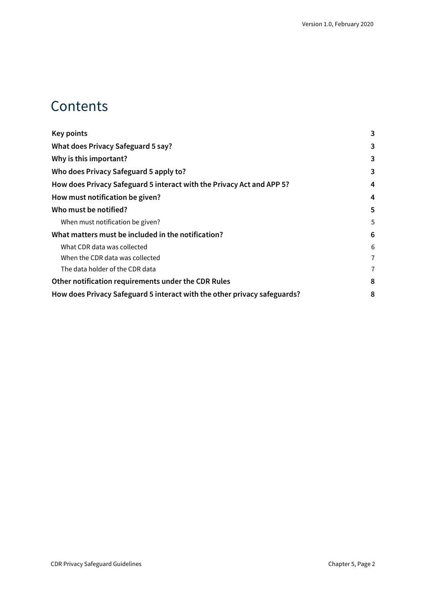### **Contents**

| <b>Key points</b>                                                        | 3 |
|--------------------------------------------------------------------------|---|
| What does Privacy Safeguard 5 say?                                       | 3 |
| Why is this important?                                                   | 3 |
| Who does Privacy Safeguard 5 apply to?                                   | 3 |
| How does Privacy Safeguard 5 interact with the Privacy Act and APP 5?    | 4 |
| How must notification be given?                                          | 4 |
| Who must be notified?                                                    | 5 |
| When must notification be given?                                         | 5 |
| What matters must be included in the notification?                       | 6 |
| What CDR data was collected                                              | 6 |
| When the CDR data was collected                                          | 7 |
| The data holder of the CDR data                                          | 7 |
| Other notification requirements under the CDR Rules                      | 8 |
| How does Privacy Safeguard 5 interact with the other privacy safeguards? | 8 |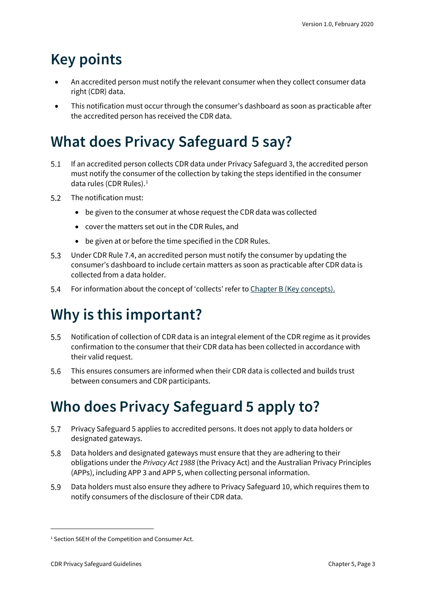## <span id="page-2-0"></span>**Key points**

- An accredited person must notify the relevant consumer when they collect consumer data right (CDR) data.
- This notification must occur through the consumer's dashboard as soon as practicable after the accredited person has received the CDR data.

## <span id="page-2-1"></span>**What does Privacy Safeguard 5 say?**

- If an accredited person collects CDR data under Privacy Safeguard 3, the accredited person  $5.1$ must notify the consumer of the collection by taking the steps identified in the consumer data rules (CDR Rules). [1](#page-2-4)
- $5.2$ The notification must:
	- be given to the consumer at whose request the CDR data was collected
	- cover the matters set out in the CDR Rules, and
	- be given at or before the time specified in the CDR Rules.
- $5.3$ Under CDR Rule 7.4, an accredited person must notify the consumer by updating the consumer's dashboard to include certain matters as soon as practicable after CDR data is collected from a data holder.
- $5.4$ For information about the concept of 'collects' refer to [Chapter B \(Key concepts\).](https://www.oaic.gov.au/consumer-data-right/cdr-privacy-safeguard-guidelines/chapter-b-key-concepts)

## <span id="page-2-2"></span>**Why is this important?**

- $5.5$ Notification of collection of CDR data is an integral element of the CDR regime as it provides confirmation to the consumer that their CDR data has been collected in accordance with their valid request.
- 5.6 This ensures consumers are informed when their CDR data is collected and builds trust between consumers and CDR participants.

## <span id="page-2-3"></span>**Who does Privacy Safeguard 5 apply to?**

- 5.7 Privacy Safeguard 5 applies to accredited persons. It does not apply to data holders or designated gateways.
- 5.8 Data holders and designated gateways must ensure that they are adhering to their obligations under the *Privacy Act 1988* (the Privacy Act) and the Australian Privacy Principles (APPs), including APP 3 and APP 5, when collecting personal information.
- 5.9 Data holders must also ensure they adhere to Privacy Safeguard 10, which requires them to notify consumers of the disclosure of their CDR data.

<span id="page-2-4"></span><sup>&</sup>lt;sup>1</sup> Section 56EH of the Competition and Consumer Act.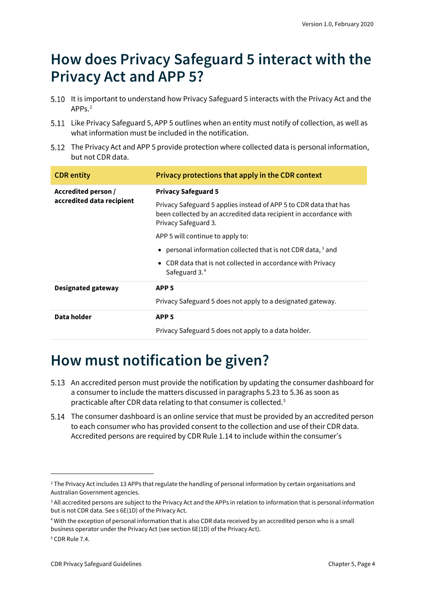### <span id="page-3-0"></span>**How does Privacy Safeguard 5 interact with the Privacy Act and APP 5?**

- 5.10 It is important to understand how Privacy Safeguard 5 interacts with the Privacy Act and the  $APP<sub>s</sub>$ <sup>[2](#page-3-2)</sup>
- 5.11 Like Privacy Safeguard 5, APP 5 outlines when an entity must notify of collection, as well as what information must be included in the notification.
- 5.12 The Privacy Act and APP 5 provide protection where collected data is personal information, but not CDR data.

| <b>CDR</b> entity                                | Privacy protections that apply in the CDR context                                                                                                              |
|--------------------------------------------------|----------------------------------------------------------------------------------------------------------------------------------------------------------------|
| Accredited person /<br>accredited data recipient | <b>Privacy Safeguard 5</b>                                                                                                                                     |
|                                                  | Privacy Safeguard 5 applies instead of APP 5 to CDR data that has<br>been collected by an accredited data recipient in accordance with<br>Privacy Safeguard 3. |
|                                                  | APP 5 will continue to apply to:                                                                                                                               |
|                                                  | • personal information collected that is not CDR data, $3$ and                                                                                                 |
|                                                  | • CDR data that is not collected in accordance with Privacy<br>Safeguard 3.4                                                                                   |
| Designated gateway                               | APP <sub>5</sub>                                                                                                                                               |
|                                                  | Privacy Safeguard 5 does not apply to a designated gateway.                                                                                                    |
| Data holder                                      | APP <sub>5</sub>                                                                                                                                               |
|                                                  | Privacy Safeguard 5 does not apply to a data holder.                                                                                                           |

### <span id="page-3-1"></span>**How must notification be given?**

- 5.13 An accredited person must provide the notification by updating the consumer dashboard for a consumer to include the matters discussed in paragraphs 5.23 to 5.36 as soon as practicable after CDR data relating to that consumer is collected. [5](#page-3-5)
- The consumer dashboard is an online service that must be provided by an accredited person to each consumer who has provided consent to the collection and use of their CDR data. Accredited persons are required by CDR Rule 1.14 to include within the consumer's

<span id="page-3-2"></span><sup>&</sup>lt;sup>2</sup> The Privacy Act includes 13 APPs that regulate the handling of personal information by certain organisations and Australian Government agencies.

<span id="page-3-3"></span><sup>&</sup>lt;sup>3</sup> All accredited persons are subject to the Privacy Act and the APPs in relation to information that is personal information but is not CDR data. See s 6E(1D) of the Privacy Act.

<span id="page-3-4"></span><sup>4</sup> With the exception of personal information that is also CDR data received by an accredited person who is a small business operator under the Privacy Act (see section 6E(1D) of the Privacy Act).

<span id="page-3-5"></span><sup>5</sup> CDR Rule 7.4.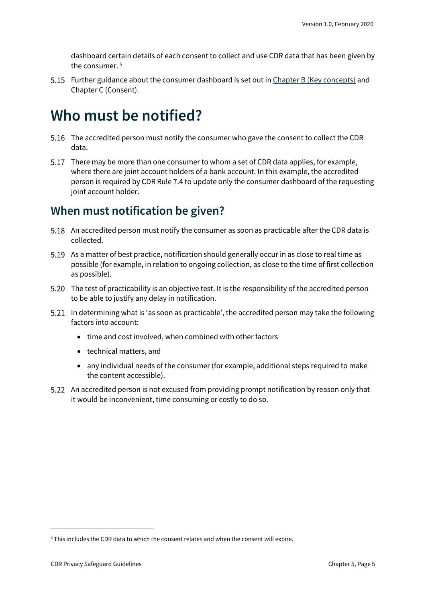dashboard certain details of each consent to collect and use CDR data that has been given by the consumer. [6](#page-4-2)

5.15 Further guidance about the consumer dashboard is set out i[n Chapter B \(Key concepts\)](https://www.oaic.gov.au/consumer-data-right/cdr-privacy-safeguard-guidelines/chapter-b-key-concepts) and Chapter C (Consent).

### <span id="page-4-0"></span>**Who must be notified?**

- 5.16 The accredited person must notify the consumer who gave the consent to collect the CDR data.
- 5.17 There may be more than one consumer to whom a set of CDR data applies, for example, where there are joint account holders of a bank account. In this example, the accredited person is required by CDR Rule 7.4 to update only the consumer dashboard of the requesting joint account holder.

### <span id="page-4-1"></span>**When must notification be given?**

- 5.18 An accredited person must notify the consumer as soon as practicable after the CDR data is collected.
- 5.19 As a matter of best practice, notification should generally occur in as close to real time as possible (for example, in relation to ongoing collection, as close to the time of first collection as possible).
- The test of practicability is an objective test. It is the responsibility of the accredited person to be able to justify any delay in notification.
- In determining what is 'as soon as practicable', the accredited person may take the following factors into account:
	- time and cost involved, when combined with other factors
	- technical matters, and
	- any individual needs of the consumer (for example, additional steps required to make the content accessible).
- 5.22 An accredited person is not excused from providing prompt notification by reason only that it would be inconvenient, time consuming or costly to do so.

<span id="page-4-2"></span> $6$  This includes the CDR data to which the consent relates and when the consent will expire.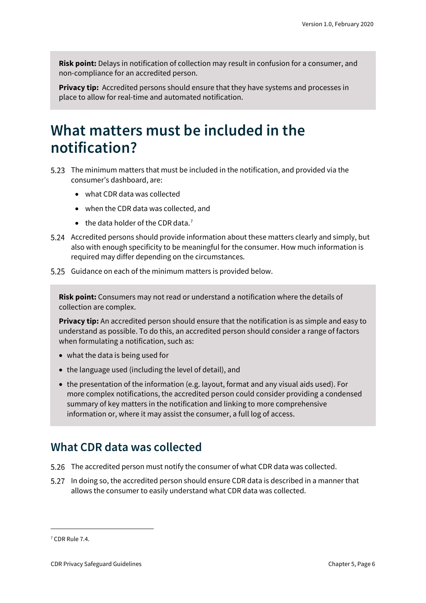**Risk point:** Delays in notification of collection may result in confusion for a consumer, and non-compliance for an accredited person.

**Privacy tip:** Accredited persons should ensure that they have systems and processes in place to allow for real-time and automated notification.

### <span id="page-5-0"></span>**What matters must be included in the notification?**

- The minimum matters that must be included in the notification, and provided via the consumer's dashboard, are:
	- what CDR data was collected
	- when the CDR data was collected, and
	- $\bullet$  the data holder of the CDR data.<sup>[7](#page-5-2)</sup>
- Accredited persons should provide information about these matters clearly and simply, but also with enough specificity to be meaningful for the consumer. How much information is required may differ depending on the circumstances.
- 5.25 Guidance on each of the minimum matters is provided below.

**Risk point:** Consumers may not read or understand a notification where the details of collection are complex.

**Privacy tip:** An accredited person should ensure that the notification is as simple and easy to understand as possible. To do this, an accredited person should consider a range of factors when formulating a notification, such as:

- what the data is being used for
- the language used (including the level of detail), and
- the presentation of the information (e.g. layout, format and any visual aids used). For more complex notifications, the accredited person could consider providing a condensed summary of key matters in the notification and linking to more comprehensive information or, where it may assist the consumer, a full log of access.

### <span id="page-5-1"></span>**What CDR data was collected**

- The accredited person must notify the consumer of what CDR data was collected.
- 5.27 In doing so, the accredited person should ensure CDR data is described in a manner that allows the consumer to easily understand what CDR data was collected.

<span id="page-5-2"></span><sup>7</sup> CDR Rule 7.4.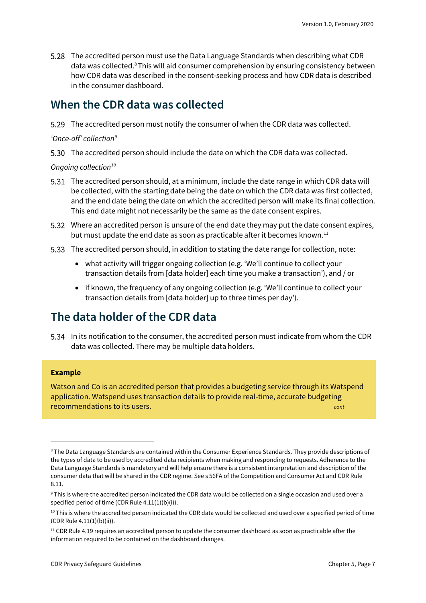The accredited person must use the Data Language Standards when describing what CDR data was collected.<sup>[8](#page-6-2)</sup> This will aid consumer comprehension by ensuring consistency between how CDR data was described in the consent-seeking process and how CDR data is described in the consumer dashboard.

#### <span id="page-6-0"></span>**When the CDR data was collected**

The accredited person must notify the consumer of when the CDR data was collected.

*'Once-off' collectio[n9](#page-6-3)*

The accredited person should include the date on which the CDR data was collected.

*Ongoing collection[10](#page-6-4)*

- The accredited person should, at a minimum, include the date range in which CDR data will be collected, with the starting date being the date on which the CDR data was first collected, and the end date being the date on which the accredited person will make its final collection. This end date might not necessarily be the same as the date consent expires.
- Where an accredited person is unsure of the end date they may put the date consent expires, but must update the end date as soon as practicable after it becomes known.<sup>[11](#page-6-5)</sup>
- The accredited person should, in addition to stating the date range for collection, note:
	- what activity will trigger ongoing collection (e.g. 'We'll continue to collect your transaction details from [data holder] each time you make a transaction'), and / or
	- if known, the frequency of any ongoing collection (e.g. 'We'll continue to collect your transaction details from [data holder] up to three times per day').

#### <span id="page-6-1"></span>**The data holder of the CDR data**

In its notification to the consumer, the accredited person must indicate from whom the CDR data was collected. There may be multiple data holders.

#### **Example**

Watson and Co is an accredited person that provides a budgeting service through its Watspend application. Watspend uses transaction details to provide real-time, accurate budgeting recommendations to its users. *cont*

<span id="page-6-2"></span><sup>8</sup> The Data Language Standards are contained within the Consumer Experience Standards. They provide descriptions of the types of data to be used by accredited data recipients when making and responding to requests. Adherence to the Data Language Standards is mandatory and will help ensure there is a consistent interpretation and description of the consumer data that will be shared in the CDR regime. See s 56FA of the Competition and Consumer Act and CDR Rule 8.11.

<span id="page-6-3"></span><sup>9</sup> This is where the accredited person indicated the CDR data would be collected on a single occasion and used over a specified period of time (CDR Rule 4.11(1)(b)(i)).

<span id="page-6-4"></span> $10$  This is where the accredited person indicated the CDR data would be collected and used over a specified period of time (CDR Rule 4.11(1)(b)(ii)).

<span id="page-6-5"></span> $11$  CDR Rule 4.19 requires an accredited person to update the consumer dashboard as soon as practicable after the information required to be contained on the dashboard changes.